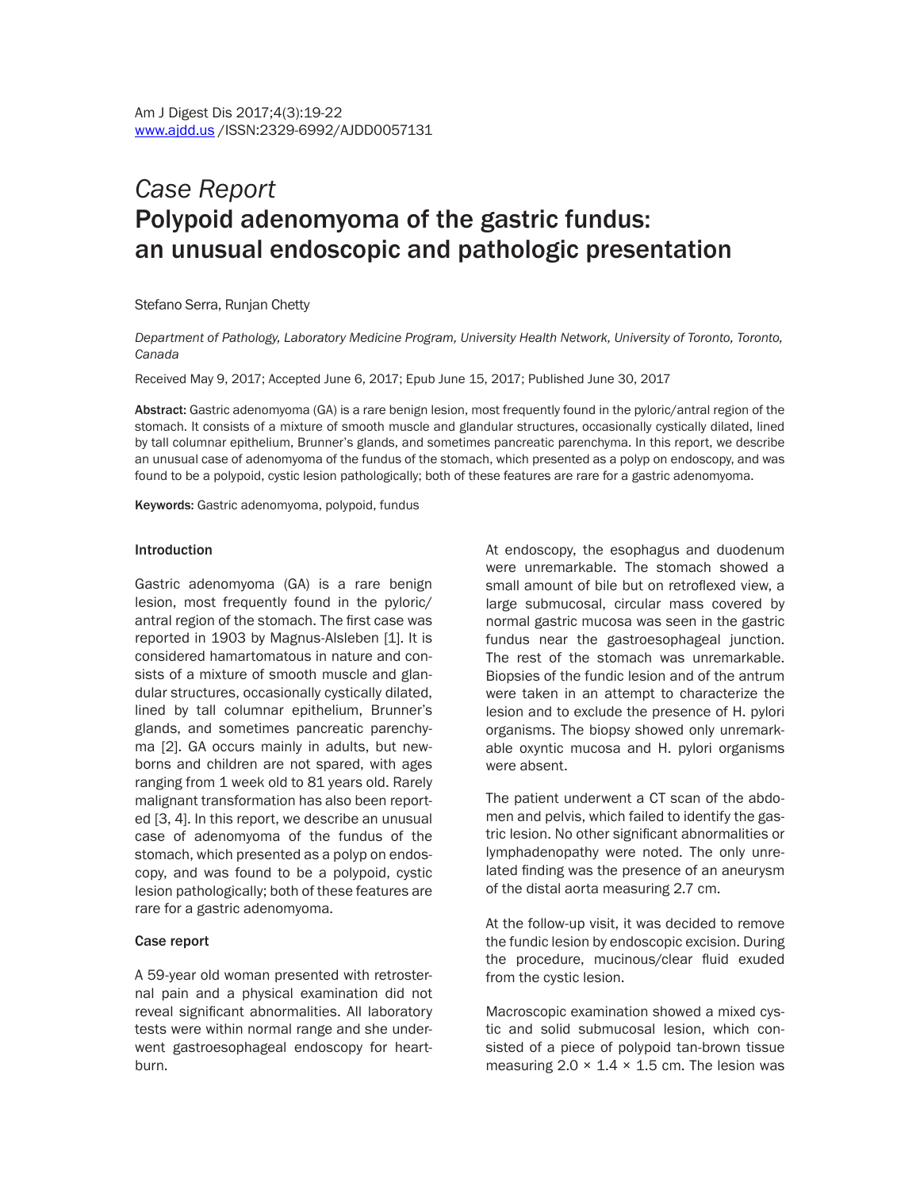# *Case Report* Polypoid adenomyoma of the gastric fundus: an unusual endoscopic and pathologic presentation

Stefano Serra, Runjan Chetty

*Department of Pathology, Laboratory Medicine Program, University Health Network, University of Toronto, Toronto, Canada* 

Received May 9, 2017; Accepted June 6, 2017; Epub June 15, 2017; Published June 30, 2017

Abstract: Gastric adenomyoma (GA) is a rare benign lesion, most frequently found in the pyloric/antral region of the stomach. It consists of a mixture of smooth muscle and glandular structures, occasionally cystically dilated, lined by tall columnar epithelium, Brunner's glands, and sometimes pancreatic parenchyma. In this report, we describe an unusual case of adenomyoma of the fundus of the stomach, which presented as a polyp on endoscopy, and was found to be a polypoid, cystic lesion pathologically; both of these features are rare for a gastric adenomyoma.

Keywords: Gastric adenomyoma, polypoid, fundus

#### Introduction

Gastric adenomyoma (GA) is a rare benign lesion, most frequently found in the pyloric/ antral region of the stomach. The first case was reported in 1903 by Magnus-Alsleben [1]. It is considered hamartomatous in nature and consists of a mixture of smooth muscle and glandular structures, occasionally cystically dilated, lined by tall columnar epithelium, Brunner's glands, and sometimes pancreatic parenchyma [2]. GA occurs mainly in adults, but newborns and children are not spared, with ages ranging from 1 week old to 81 years old. Rarely malignant transformation has also been reported [3, 4]. In this report, we describe an unusual case of adenomyoma of the fundus of the stomach, which presented as a polyp on endoscopy, and was found to be a polypoid, cystic lesion pathologically; both of these features are rare for a gastric adenomyoma.

### Case report

A 59-year old woman presented with retrosternal pain and a physical examination did not reveal significant abnormalities. All laboratory tests were within normal range and she underwent gastroesophageal endoscopy for heartburn.

At endoscopy, the esophagus and duodenum were unremarkable. The stomach showed a small amount of bile but on retroflexed view, a large submucosal, circular mass covered by normal gastric mucosa was seen in the gastric fundus near the gastroesophageal junction. The rest of the stomach was unremarkable. Biopsies of the fundic lesion and of the antrum were taken in an attempt to characterize the lesion and to exclude the presence of H. pylori organisms. The biopsy showed only unremarkable oxyntic mucosa and H. pylori organisms were absent.

The patient underwent a CT scan of the abdomen and pelvis, which failed to identify the gastric lesion. No other significant abnormalities or lymphadenopathy were noted. The only unrelated finding was the presence of an aneurysm of the distal aorta measuring 2.7 cm.

At the follow-up visit, it was decided to remove the fundic lesion by endoscopic excision. During the procedure, mucinous/clear fluid exuded from the cystic lesion.

Macroscopic examination showed a mixed cystic and solid submucosal lesion, which consisted of a piece of polypoid tan-brown tissue measuring  $2.0 \times 1.4 \times 1.5$  cm. The lesion was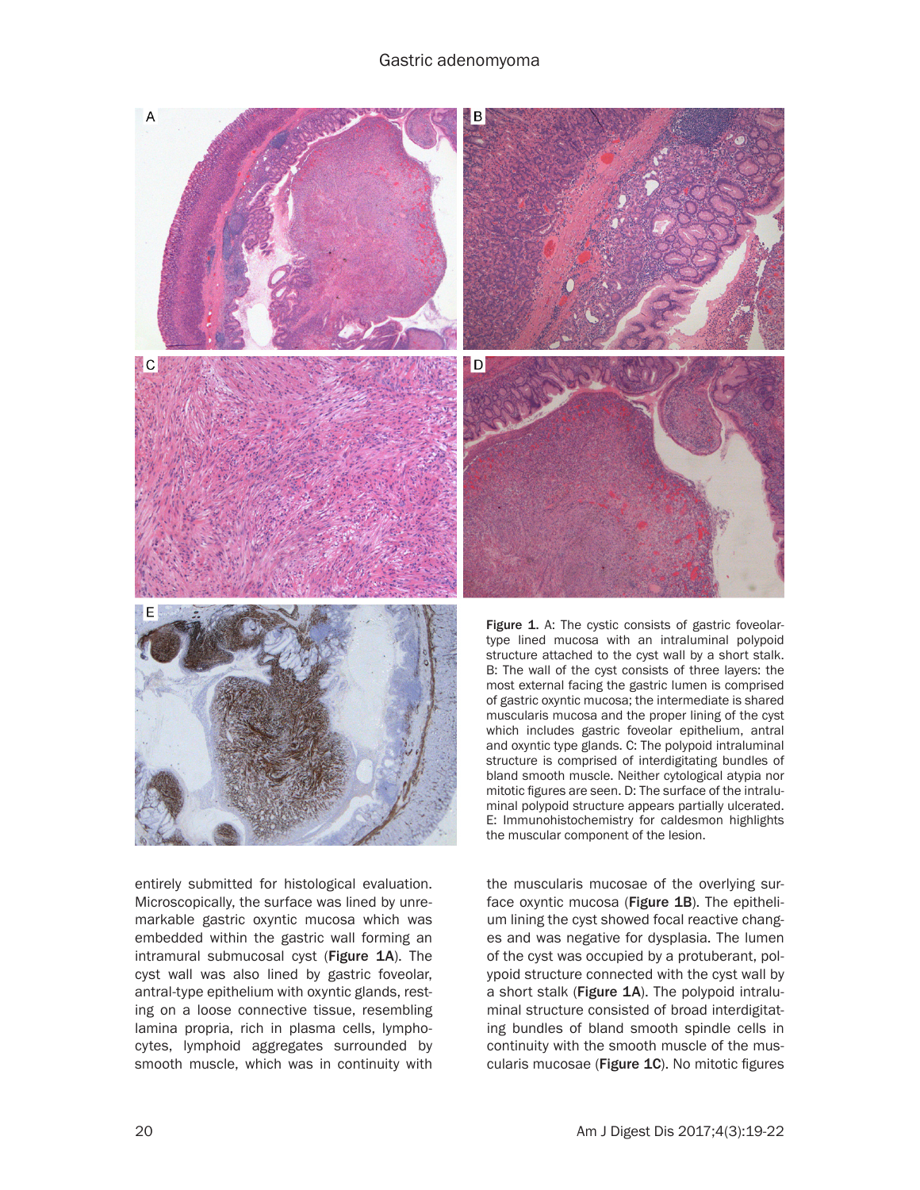

entirely submitted for histological evaluation. Microscopically, the surface was lined by unremarkable gastric oxyntic mucosa which was embedded within the gastric wall forming an intramural submucosal cyst (Figure 1A). The cyst wall was also lined by gastric foveolar, antral-type epithelium with oxyntic glands, resting on a loose connective tissue, resembling lamina propria, rich in plasma cells, lymphocytes, lymphoid aggregates surrounded by smooth muscle, which was in continuity with

the muscularis mucosae of the overlying surface oxyntic mucosa (Figure 1B). The epithelium lining the cyst showed focal reactive changes and was negative for dysplasia. The lumen of the cyst was occupied by a protuberant, polypoid structure connected with the cyst wall by a short stalk (Figure 1A). The polypoid intraluminal structure consisted of broad interdigitating bundles of bland smooth spindle cells in continuity with the smooth muscle of the muscularis mucosae (Figure 1C). No mitotic figures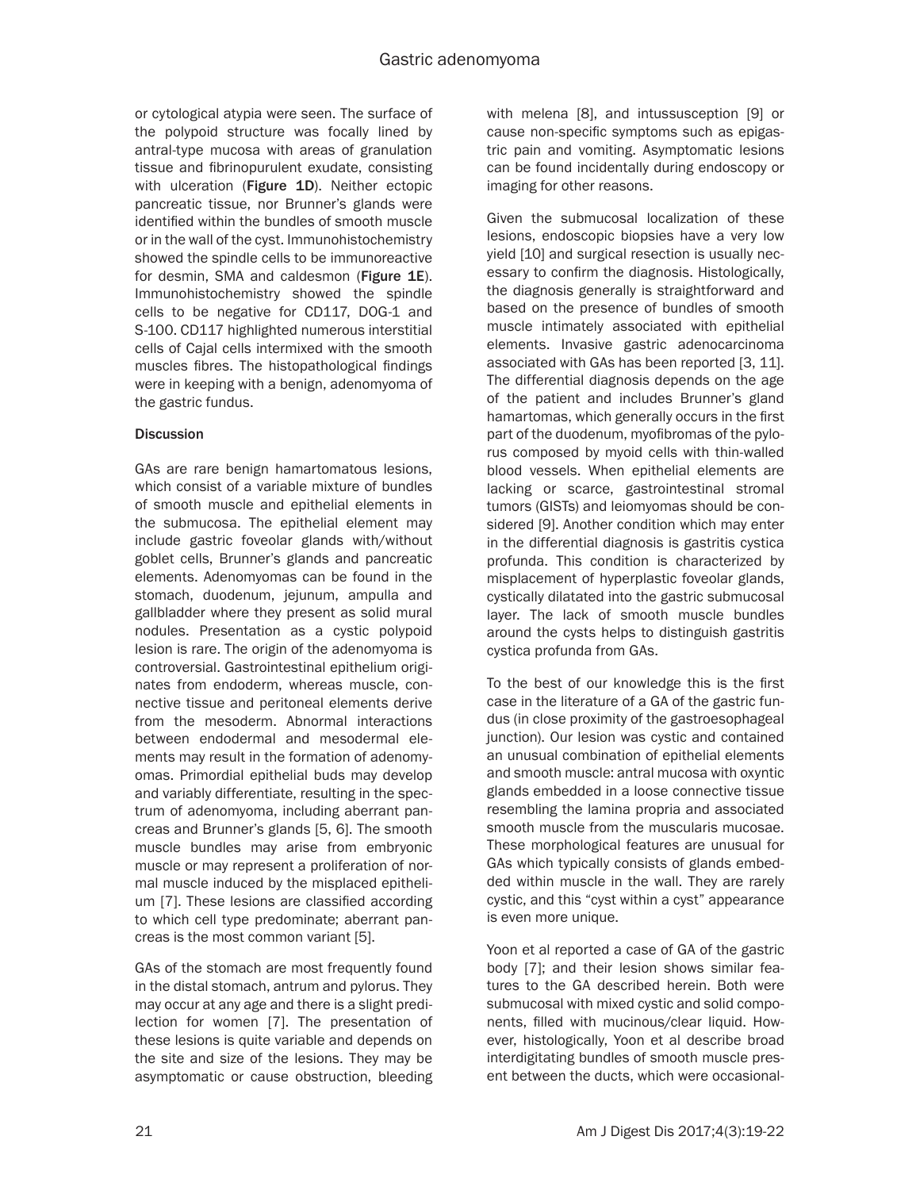or cytological atypia were seen. The surface of the polypoid structure was focally lined by antral-type mucosa with areas of granulation tissue and fibrinopurulent exudate, consisting with ulceration (Figure 1D). Neither ectopic pancreatic tissue, nor Brunner's glands were identified within the bundles of smooth muscle or in the wall of the cyst. Immunohistochemistry showed the spindle cells to be immunoreactive for desmin, SMA and caldesmon (Figure 1E). Immunohistochemistry showed the spindle cells to be negative for CD117, DOG-1 and S-100. CD117 highlighted numerous interstitial cells of Cajal cells intermixed with the smooth muscles fibres. The histopathological findings were in keeping with a benign, adenomyoma of the gastric fundus.

## **Discussion**

GAs are rare benign hamartomatous lesions, which consist of a variable mixture of bundles of smooth muscle and epithelial elements in the submucosa. The epithelial element may include gastric foveolar glands with/without goblet cells, Brunner's glands and pancreatic elements. Adenomyomas can be found in the stomach, duodenum, jejunum, ampulla and gallbladder where they present as solid mural nodules. Presentation as a cystic polypoid lesion is rare. The origin of the adenomyoma is controversial. Gastrointestinal epithelium originates from endoderm, whereas muscle, connective tissue and peritoneal elements derive from the mesoderm. Abnormal interactions between endodermal and mesodermal elements may result in the formation of adenomyomas. Primordial epithelial buds may develop and variably differentiate, resulting in the spectrum of adenomyoma, including aberrant pancreas and Brunner's glands [5, 6]. The smooth muscle bundles may arise from embryonic muscle or may represent a proliferation of normal muscle induced by the misplaced epithelium [7]. These lesions are classified according to which cell type predominate; aberrant pancreas is the most common variant [5].

GAs of the stomach are most frequently found in the distal stomach, antrum and pylorus. They may occur at any age and there is a slight predilection for women [7]. The presentation of these lesions is quite variable and depends on the site and size of the lesions. They may be asymptomatic or cause obstruction, bleeding

with melena [8], and intussusception [9] or cause non-specific symptoms such as epigastric pain and vomiting. Asymptomatic lesions can be found incidentally during endoscopy or imaging for other reasons.

Given the submucosal localization of these lesions, endoscopic biopsies have a very low yield [10] and surgical resection is usually necessary to confirm the diagnosis. Histologically, the diagnosis generally is straightforward and based on the presence of bundles of smooth muscle intimately associated with epithelial elements. Invasive gastric adenocarcinoma associated with GAs has been reported [3, 11]. The differential diagnosis depends on the age of the patient and includes Brunner's gland hamartomas, which generally occurs in the first part of the duodenum, myofibromas of the pylorus composed by myoid cells with thin-walled blood vessels. When epithelial elements are lacking or scarce, gastrointestinal stromal tumors (GISTs) and leiomyomas should be considered [9]. Another condition which may enter in the differential diagnosis is gastritis cystica profunda. This condition is characterized by misplacement of hyperplastic foveolar glands, cystically dilatated into the gastric submucosal layer. The lack of smooth muscle bundles around the cysts helps to distinguish gastritis cystica profunda from GAs.

To the best of our knowledge this is the first case in the literature of a GA of the gastric fundus (in close proximity of the gastroesophageal junction). Our lesion was cystic and contained an unusual combination of epithelial elements and smooth muscle: antral mucosa with oxyntic glands embedded in a loose connective tissue resembling the lamina propria and associated smooth muscle from the muscularis mucosae. These morphological features are unusual for GAs which typically consists of glands embedded within muscle in the wall. They are rarely cystic, and this "cyst within a cyst" appearance is even more unique.

Yoon et al reported a case of GA of the gastric body [7]; and their lesion shows similar features to the GA described herein. Both were submucosal with mixed cystic and solid components, filled with mucinous/clear liquid. However, histologically, Yoon et al describe broad interdigitating bundles of smooth muscle present between the ducts, which were occasional-